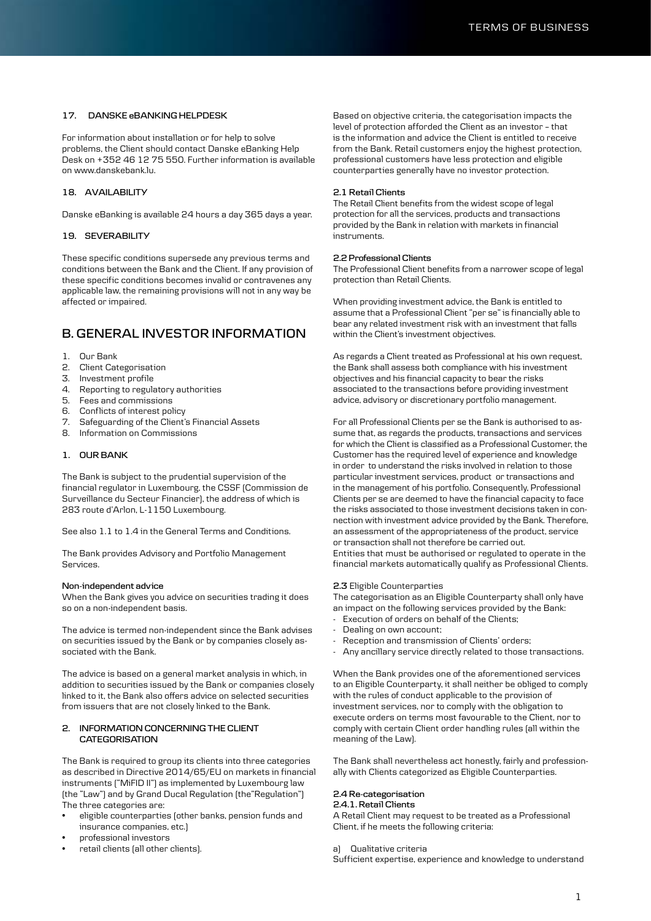# **17. DANSKE eBANKING HELPDESK**

For information about installation or for help to solve problems, the Client should contact Danske eBanking Help Desk on +352 46 12 75 550. Further information is available on www.danskebank.lu.

# **18. AVAILABILITY**

Danske eBanking is available 24 hours a day 365 days a year.

# **19. SEVERABILITY**

These specific conditions supersede any previous terms and conditions between the Bank and the Client. If any provision of these specific conditions becomes invalid or contravenes any applicable law, the remaining provisions will not in any way be affected or impaired.

# **B. GENERAL INVESTOR INFORMATION**

- 1. Our Bank
- 2. Client Categorisation
- 3. Investment profile
- 4. Reporting to regulatory authorities
- 5. Fees and commissions
- 6. Conflicts of interest policy
- 7. Safeguarding of the Client's Financial Assets
- 8. Information on Commissions

### **1. OUR BANK**

The Bank is subject to the prudential supervision of the financial regulator in Luxembourg, the CSSF (Commission de Surveillance du Secteur Financier), the address of which is 283 route d'Arlon, L-1150 Luxembourg.

See also 1.1 to 1.4 in the General Terms and Conditions.

The Bank provides Advisory and Portfolio Management Services.

#### **Non-independent advice**

When the Bank gives you advice on securities trading it does so on a non-independent basis.

The advice is termed non-independent since the Bank advises on securities issued by the Bank or by companies closely associated with the Bank.

The advice is based on a general market analysis in which, in addition to securities issued by the Bank or companies closely linked to it, the Bank also offers advice on selected securities from issuers that are not closely linked to the Bank.

# **2. INFORMATION CONCERNING THE CLIENT CATEGORISATION**

The Bank is required to group its clients into three categories as described in Directive 2014/65/EU on markets in financial instruments ("MiFID II") as implemented by Luxembourg law (the "Law") and by Grand Ducal Regulation (the"Regulation") The three categories are:

- eligible counterparties (other banks, pension funds and insurance companies, etc.)
- professional investors
- retail clients (all other clients).

Based on objective criteria, the categorisation impacts the level of protection afforded the Client as an investor – that is the information and advice the Client is entitled to receive from the Bank. Retail customers enjoy the highest protection, professional customers have less protection and eligible counterparties generally have no investor protection.

### **2.1 Retail Clients**

The Retail Client benefits from the widest scope of legal protection for all the services, products and transactions provided by the Bank in relation with markets in financial instruments.

# **2.2 Professional Clients**

The Professional Client benefits from a narrower scope of legal protection than Retail Clients.

When providing investment advice, the Bank is entitled to assume that a Professional Client "per se" is financially able to bear any related investment risk with an investment that falls within the Client's investment objectives.

As regards a Client treated as Professional at his own request, the Bank shall assess both compliance with his investment objectives and his financial capacity to bear the risks associated to the transactions before providing investment advice, advisory or discretionary portfolio management.

For all Professional Clients per se the Bank is authorised to assume that, as regards the products, transactions and services for which the Client is classified as a Professional Customer, the Customer has the required level of experience and knowledge in order to understand the risks involved in relation to those particular investment services, product or transactions and in the management of his portfolio. Consequently, Professional Clients per se are deemed to have the financial capacity to face the risks associated to those investment decisions taken in connection with investment advice provided by the Bank. Therefore, an assessment of the appropriateness of the product, service or transaction shall not therefore be carried out. Entities that must be authorised or regulated to operate in the financial markets automatically qualify as Professional Clients.

### **2.3** Eligible Counterparties

The categorisation as an Eligible Counterparty shall only have an impact on the following services provided by the Bank:

- Execution of orders on behalf of the Clients;
- Dealing on own account;
- Reception and transmission of Clients' orders;
- Any ancillary service directly related to those transactions.

When the Bank provides one of the aforementioned services to an Eligible Counterparty, it shall neither be obliged to comply with the rules of conduct applicable to the provision of investment services, nor to comply with the obligation to execute orders on terms most favourable to the Client, nor to comply with certain Client order handling rules (all within the meaning of the Law).

The Bank shall nevertheless act honestly, fairly and professionally with Clients categorized as Eligible Counterparties.

# **2.4 Re-categorisation**

#### **2.4.1. Retail Clients**

A Retail Client may request to be treated as a Professional Client, if he meets the following criteria:

a) Qualitative criteria

Sufficient expertise, experience and knowledge to understand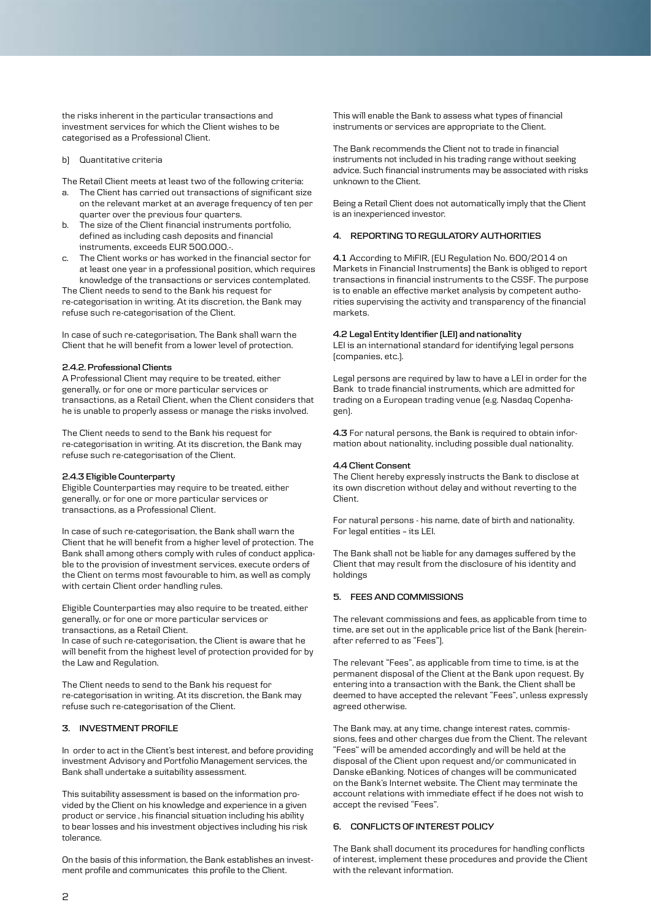the risks inherent in the particular transactions and investment services for which the Client wishes to be categorised as a Professional Client.

### b) Quantitative criteria

The Retail Client meets at least two of the following criteria:

- a. The Client has carried out transactions of significant size on the relevant market at an average frequency of ten per quarter over the previous four quarters.
- b. The size of the Client financial instruments portfolio, defined as including cash deposits and financial instruments, exceeds EUR 500.000.-.
- The Client works or has worked in the financial sector for at least one year in a professional position, which requires knowledge of the transactions or services contemplated.

The Client needs to send to the Bank his request for re-categorisation in writing. At its discretion, the Bank may refuse such re-categorisation of the Client.

In case of such re-categorisation, The Bank shall warn the Client that he will benefit from a lower level of protection.

#### **2.4.2. Professional Clients**

A Professional Client may require to be treated, either generally, or for one or more particular services or transactions, as a Retail Client, when the Client considers that he is unable to properly assess or manage the risks involved.

The Client needs to send to the Bank his request for re-categorisation in writing. At its discretion, the Bank may refuse such re-categorisation of the Client.

# **2.4.3 Eligible Counterparty**

Eligible Counterparties may require to be treated, either generally, or for one or more particular services or transactions, as a Professional Client.

In case of such re-categorisation, the Bank shall warn the Client that he will benefit from a higher level of protection. The Bank shall among others comply with rules of conduct applicable to the provision of investment services, execute orders of the Client on terms most favourable to him, as well as comply with certain Client order handling rules.

Eligible Counterparties may also require to be treated, either generally, or for one or more particular services or transactions, as a Retail Client.

In case of such re-categorisation, the Client is aware that he will benefit from the highest level of protection provided for by the Law and Regulation.

The Client needs to send to the Bank his request for re-categorisation in writing. At its discretion, the Bank may refuse such re-categorisation of the Client.

### **3. INVESTMENT PROFILE**

In order to act in the Client's best interest, and before providing investment Advisory and Portfolio Management services, the Bank shall undertake a suitability assessment.

This suitability assessment is based on the information provided by the Client on his knowledge and experience in a given product or service , his financial situation including his ability to bear losses and his investment objectives including his risk tolerance.

On the basis of this information, the Bank establishes an investment profile and communicates this profile to the Client.

This will enable the Bank to assess what types of financial instruments or services are appropriate to the Client.

The Bank recommends the Client not to trade in financial instruments not included in his trading range without seeking advice. Such financial instruments may be associated with risks unknown to the Client.

Being a Retail Client does not automatically imply that the Client is an inexperienced investor.

# **4. REPORTING TO REGULATORY AUTHORITIES**

**4.1** According to MiFIR, (EU Regulation No. 600/2014 on Markets in Financial Instruments) the Bank is obliged to report transactions in financial instruments to the CSSF. The purpose is to enable an effective market analysis by competent authorities supervising the activity and transparency of the financial markets.

### **4.2 Legal Entity Identifier (LEI) and nationality**

LEI is an international standard for identifying legal persons (companies, etc.).

Legal persons are required by law to have a LEI in order for the Bank to trade financial instruments, which are admitted for trading on a European trading venue (e.g. Nasdaq Copenhagen).

**4.3** For natural persons, the Bank is required to obtain information about nationality, including possible dual nationality.

#### **4.4 Client Consent**

The Client hereby expressly instructs the Bank to disclose at its own discretion without delay and without reverting to the Client.

For natural persons - his name, date of birth and nationality. For legal entities – its LEI.

The Bank shall not be liable for any damages suffered by the Client that may result from the disclosure of his identity and holdings

# **5. FEES AND COMMISSIONS**

The relevant commissions and fees, as applicable from time to time, are set out in the applicable price list of the Bank (hereinafter referred to as "Fees").

The relevant "Fees", as applicable from time to time, is at the permanent disposal of the Client at the Bank upon request. By entering into a transaction with the Bank, the Client shall be deemed to have accepted the relevant "Fees", unless expressly agreed otherwise.

The Bank may, at any time, change interest rates, commissions, fees and other charges due from the Client. The relevant "Fees" will be amended accordingly and will be held at the disposal of the Client upon request and/or communicated in Danske eBanking. Notices of changes will be communicated on the Bank's Internet website. The Client may terminate the account relations with immediate effect if he does not wish to accept the revised "Fees".

#### **6. CONFLICTS OF INTEREST POLICY**

The Bank shall document its procedures for handling conflicts of interest, implement these procedures and provide the Client with the relevant information.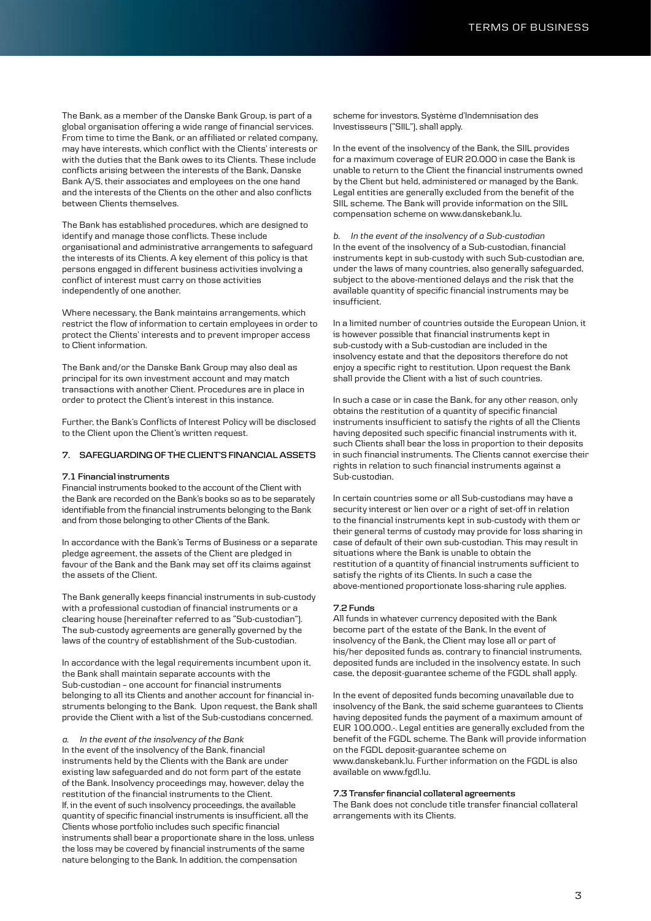The Bank, as a member of the Danske Bank Group, is part of a global organisation offering a wide range of financial services. From time to time the Bank, or an affiliated or related company, may have interests, which conflict with the Clients' interests or with the duties that the Bank owes to its Clients. These include conflicts arising between the interests of the Bank, Danske Bank A/S, their associates and employees on the one hand and the interests of the Clients on the other and also conflicts between Clients themselves.

The Bank has established procedures, which are designed to identify and manage those conflicts. These include organisational and administrative arrangements to safeguard the interests of its Clients. A key element of this policy is that persons engaged in different business activities involving a conflict of interest must carry on those activities independently of one another.

Where necessary, the Bank maintains arrangements, which restrict the flow of information to certain employees in order to protect the Clients' interests and to prevent improper access to Client information.

The Bank and/or the Danske Bank Group may also deal as principal for its own investment account and may match transactions with another Client. Procedures are in place in order to protect the Client's interest in this instance.

Further, the Bank's Conflicts of Interest Policy will be disclosed to the Client upon the Client's written request.

### **7. SAFEGUARDING OF THE CLIENT'S FINANCIAL ASSETS**

#### **7.1 Financial instruments**

Financial instruments booked to the account of the Client with the Bank are recorded on the Bank's books so as to be separately identifiable from the financial instruments belonging to the Bank and from those belonging to other Clients of the Bank.

In accordance with the Bank's Terms of Business or a separate pledge agreement, the assets of the Client are pledged in favour of the Bank and the Bank may set off its claims against the assets of the Client.

The Bank generally keeps financial instruments in sub-custody with a professional custodian of financial instruments or a clearing house (hereinafter referred to as "Sub-custodian"). The sub-custody agreements are generally governed by the laws of the country of establishment of the Sub-custodian.

In accordance with the legal requirements incumbent upon it, the Bank shall maintain separate accounts with the Sub-custodian – one account for financial instruments belonging to all its Clients and another account for financial instruments belonging to the Bank. Upon request, the Bank shall provide the Client with a list of the Sub-custodians concerned.

#### *a. In the event of the insolvency of the Bank*

In the event of the insolvency of the Bank, financial instruments held by the Clients with the Bank are under existing law safeguarded and do not form part of the estate of the Bank. Insolvency proceedings may, however, delay the restitution of the financial instruments to the Client. If, in the event of such insolvency proceedings, the available quantity of specific financial instruments is insufficient, all the Clients whose portfolio includes such specific financial instruments shall bear a proportionate share in the loss, unless the loss may be covered by financial instruments of the same nature belonging to the Bank. In addition, the compensation

scheme for investors, Système d'Indemnisation des Investisseurs ("SIIL"), shall apply.

In the event of the insolvency of the Bank, the SIIL provides for a maximum coverage of EUR 20.000 in case the Bank is unable to return to the Client the financial instruments owned by the Client but held, administered or managed by the Bank. Legal entities are generally excluded from the benefit of the SIIL scheme. The Bank will provide information on the SIIL compensation scheme on www.danskebank.lu.

*b. In the event of the insolvency of a Sub-custodian* In the event of the insolvency of a Sub-custodian, financial instruments kept in sub-custody with such Sub-custodian are, under the laws of many countries, also generally safeguarded, subject to the above-mentioned delays and the risk that the available quantity of specific financial instruments may be insufficient.

In a limited number of countries outside the European Union, it is however possible that financial instruments kept in sub-custody with a Sub-custodian are included in the insolvency estate and that the depositors therefore do not enjoy a specific right to restitution. Upon request the Bank shall provide the Client with a list of such countries.

In such a case or in case the Bank, for any other reason, only obtains the restitution of a quantity of specific financial instruments insufficient to satisfy the rights of all the Clients having deposited such specific financial instruments with it, such Clients shall bear the loss in proportion to their deposits in such financial instruments. The Clients cannot exercise their rights in relation to such financial instruments against a Sub-custodian.

In certain countries some or all Sub-custodians may have a security interest or lien over or a right of set-off in relation to the financial instruments kept in sub-custody with them or their general terms of custody may provide for loss sharing in case of default of their own sub-custodian. This may result in situations where the Bank is unable to obtain the restitution of a quantity of financial instruments sufficient to satisfy the rights of its Clients. In such a case the above-mentioned proportionate loss-sharing rule applies.

#### **7.2 Funds**

All funds in whatever currency deposited with the Bank become part of the estate of the Bank. In the event of insolvency of the Bank, the Client may lose all or part of his/her deposited funds as, contrary to financial instruments, deposited funds are included in the insolvency estate. In such case, the deposit-guarantee scheme of the FGDL shall apply.

In the event of deposited funds becoming unavailable due to insolvency of the Bank, the said scheme guarantees to Clients having deposited funds the payment of a maximum amount of EUR 100.000.-. Legal entities are generally excluded from the benefit of the FGDL scheme. The Bank will provide information on the FGDL deposit-guarantee scheme on www.danskebank.lu. Further information on the FGDL is also available on www.fgdl.lu.

### **7.3 Transfer financial collateral agreements**

The Bank does not conclude title transfer financial collateral arrangements with its Clients.